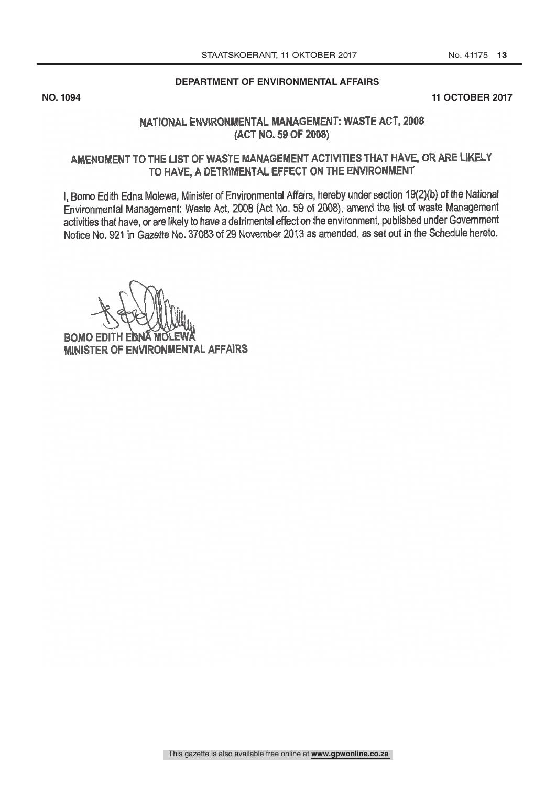### **DEPARTMENT OF ENVIRONMENTAL AFFAIRS**

**NO. 1094 11 OCTOBER 2017**

## NATIONAL ENVIRONMENTAL MANAGEMENT: WASTE ACT, 2008 (ACT NO. 59 OF 2008)

## AMENDMENT TO THE LIST OF WASTE MANAGEMENT ACTIVITIES THAT HAVE, OR ARE LIKELY TO HAVE, A DETRIMENTAL EFFECT ON THE ENVIRONMENT

I. Bomo Edith Edna Molewa, Minister of Environmental Affairs, hereby under section 19(2)(b) of the National Environmental Management: Waste Act, 2008 (Act No. 59 of 2008), amend the list of waste Management activities that have, or are likely to have a detrimental effect on the environment, published under Government Notice No. 921 in Gazette No. 37083 of 29 November 2013 as amended, as set out in the Schedule hereto.

**BOMO EDITH EN** MINISTER OF ENVIRONMENTAL AFFAIRS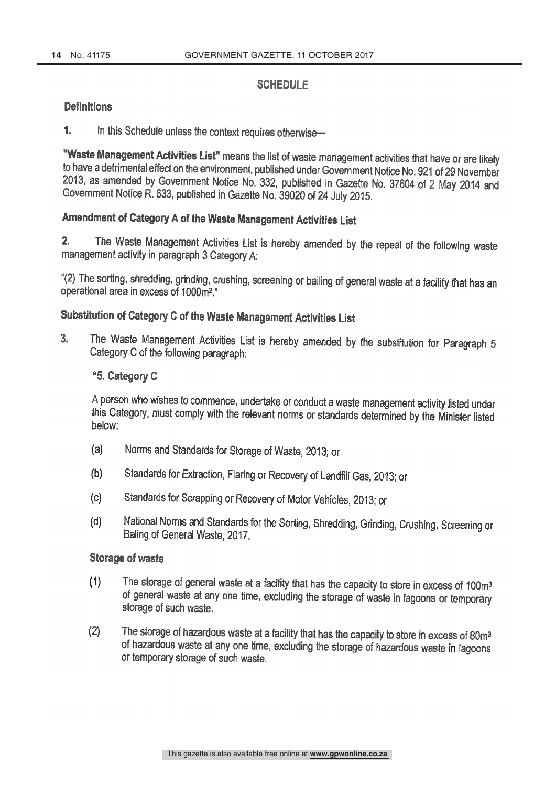### **SCHEDULE**

### **Definitions**

1. In this Schedule unless the context requires otherwise-

"Waste Management Activities List" means the list of waste management activities that have or are likely to have a detrimental effect on the environment, published under Government Notice No. 921 of 29 November 2013, as amended by Government Notice No. 332, published in Gazette No. 37604 of 2 May 2014 and Government Notice R. 633, published in Gazette No. 39020 of 24 July 2015.

# Amendment of Category A of the Waste Management Activities List

2, The Waste Management Activities List is hereby amended by the repeal of the following waste management activity in paragraph 3 Category A:

"(2) The sorting, shredding, grinding, crushing, screening or bailing of general waste at a facility that has an operational area in excess of 1000m2."

## Substitution of Category C of the Waste Management Activities List

The Waste Management Activities List is hereby amended by the substitution for Paragraph 5  $3.$ Category C of the following paragraph:

## "5. Category C

A person who wishes to commence, undertake or conduct a waste management activity listed under this Category, must comply with the relevant norms or standards determined by the Minister listed below:

- $(a)$ Norms and Standards for Storage of Waste, 2013; or
- Standards for Extraction, Flaring or Recovery of Landfill Gas, 2013; or  $(b)$
- $(c)$ Standards for Scrapping or Recovery of Motor Vehicles, 2013; or
- National Norms and Standards for the Sorting, Shredding, Grinding, Crushing, Screening or  $(d)$ Baling of General Waste, 2017.

### **Storage of waste**

- The storage of general waste at a facility that has the capacity to store in excess of 100m<sup>3</sup>  $(1)$ of general waste at any one time, excluding the storage of waste in lagoons or temporary storage of such waste.
- The storage of hazardous waste at a facility that has the capacity to store in excess of 80m3  $(2)$ of hazardous waste at any one time, excluding the storage of hazardous waste in lagoons or temporary storage of such waste.